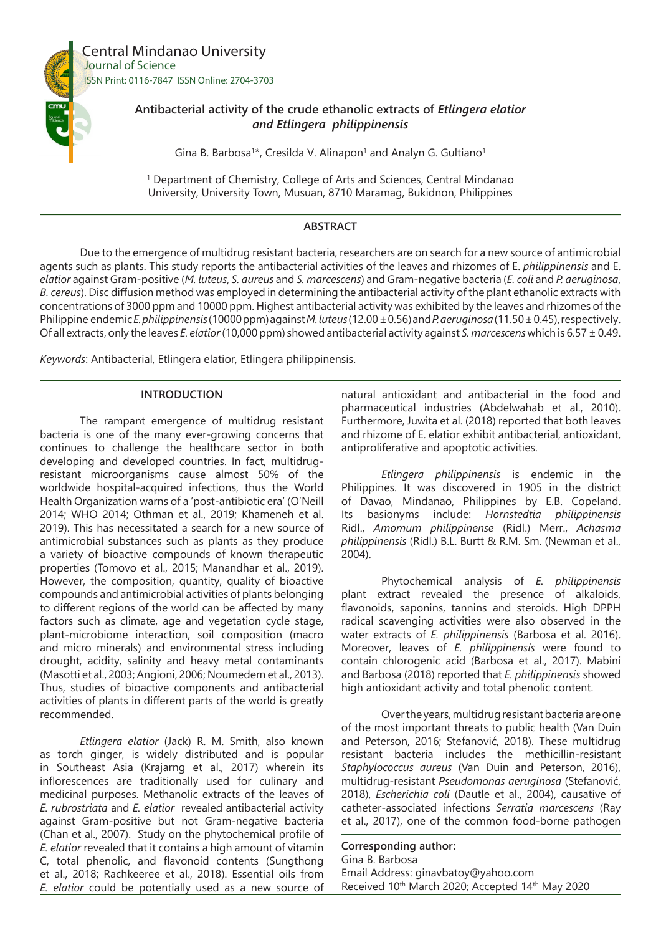

# **Antibacterial activity of the crude ethanolic extracts of** *Etlingera elatior and Etlingera philippinensis*

Gina B. Barbosa<sup>1\*</sup>, Cresilda V. Alinapon<sup>1</sup> and Analyn G. Gultiano<sup>1</sup>

1 Department of Chemistry, College of Arts and Sciences, Central Mindanao University, University Town, Musuan, 8710 Maramag, Bukidnon, Philippines

# **ABSTRACT**

Due to the emergence of multidrug resistant bacteria, researchers are on search for a new source of antimicrobial agents such as plants. This study reports the antibacterial activities of the leaves and rhizomes of E. *philippinensis* and E. *elatior* against Gram-positive (*M. luteus*, *S. aureus* and *S. marcescens*) and Gram-negative bacteria (*E. coli* and *P. aeruginosa*, *B. cereus*). Disc diffusion method was employed in determining the antibacterial activity of the plant ethanolic extracts with concentrations of 3000 ppm and 10000 ppm. Highest antibacterial activity was exhibited by the leaves and rhizomes of the Philippine endemic *E. philippinensis* (10000 ppm) against *M. luteus* (12.00 ± 0.56) and *P. aeruginosa* (11.50 ± 0.45), respectively. Of all extracts, only the leaves *E. elatior* (10,000 ppm) showed antibacterial activity against *S. marcescens* which is 6.57 ± 0.49.

*Keywords*: Antibacterial, Etlingera elatior, Etlingera philippinensis.

## **INTRODUCTION**

The rampant emergence of multidrug resistant bacteria is one of the many ever-growing concerns that continues to challenge the healthcare sector in both developing and developed countries. In fact, multidrugresistant microorganisms cause almost 50% of the worldwide hospital-acquired infections, thus the World Health Organization warns of a 'post-antibiotic era' (O'Neill 2014; WHO 2014; Othman et al., 2019; Khameneh et al. 2019). This has necessitated a search for a new source of antimicrobial substances such as plants as they produce a variety of bioactive compounds of known therapeutic properties (Tomovo et al., 2015; Manandhar et al., 2019). However, the composition, quantity, quality of bioactive compounds and antimicrobial activities of plants belonging to different regions of the world can be affected by many factors such as climate, age and vegetation cycle stage, plant-microbiome interaction, soil composition (macro and micro minerals) and environmental stress including drought, acidity, salinity and heavy metal contaminants (Masotti et al., 2003; Angioni, 2006; Noumedem et al., 2013). Thus, studies of bioactive components and antibacterial activities of plants in different parts of the world is greatly recommended.

*Etlingera elatior* (Jack) R. M. Smith, also known as torch ginger, is widely distributed and is popular in Southeast Asia (Krajarng et al., 2017) wherein its inflorescences are traditionally used for culinary and medicinal purposes. Methanolic extracts of the leaves of *E. rubrostriata* and *E. elatior* revealed antibacterial activity against Gram-positive but not Gram-negative bacteria (Chan et al., 2007). Study on the phytochemical profile of *E. elatior* revealed that it contains a high amount of vitamin C, total phenolic, and flavonoid contents (Sungthong et al., 2018; Rachkeeree et al., 2018). Essential oils from *E. elatior* could be potentially used as a new source of natural antioxidant and antibacterial in the food and pharmaceutical industries (Abdelwahab et al., 2010). Furthermore, Juwita et al. (2018) reported that both leaves and rhizome of E. elatior exhibit antibacterial, antioxidant, antiproliferative and apoptotic activities.

*Etlingera philippinensis* is endemic in the Philippines. It was discovered in 1905 in the district of Davao, Mindanao, Philippines by E.B. Copeland. Its basionyms include: *Hornstedtia philippinensis* Ridl., *Amomum philippinense* (Ridl.) Merr., *Achasma philippinensis* (Ridl.) B.L. Burtt & R.M. Sm. (Newman et al., 2004).

Phytochemical analysis of *E. philippinensis* plant extract revealed the presence of alkaloids, flavonoids, saponins, tannins and steroids. High DPPH radical scavenging activities were also observed in the water extracts of *E. philippinensis* (Barbosa et al. 2016). Moreover, leaves of *E. philippinensis* were found to contain chlorogenic acid (Barbosa et al., 2017). Mabini and Barbosa (2018) reported that *E. philippinensis* showed high antioxidant activity and total phenolic content.

Over the years, multidrug resistant bacteria are one of the most important threats to public health (Van Duin and Peterson, 2016; Stefanović, 2018). These multidrug resistant bacteria includes the methicillin-resistant *Staphylococcus aureus* (Van Duin and Peterson, 2016), multidrug-resistant *Pseudomonas aeruginosa* (Stefanović, 2018), *Escherichia coli* (Dautle et al., 2004), causative of catheter-associated infections *Serratia marcescens* (Ray et al., 2017), one of the common food-borne pathogen

**Corresponding author:** Gina B. Barbosa Email Address: ginavbatoy@yahoo.com Received 10th March 2020; Accepted 14th May 2020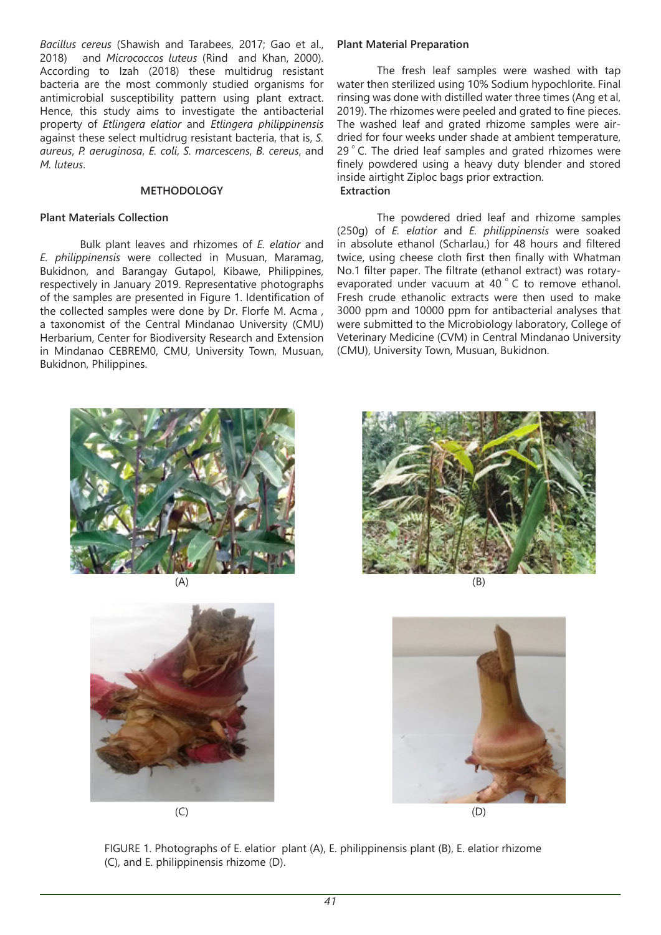*Bacillus cereus* (Shawish and Tarabees, 2017; Gao et al., 2018) and *Micrococcos luteus* (Rind and Khan, 2000). According to Izah (2018) these multidrug resistant bacteria are the most commonly studied organisms for antimicrobial susceptibility pattern using plant extract. Hence, this study aims to investigate the antibacterial property of *Etlingera elatior* and *Etlingera philippinensis* against these select multidrug resistant bacteria, that is, *S. aureus*, *P. aeruginosa*, *E. coli*, *S. marcescens*, *B. cereus*, and *M. luteus*.

# **METHODOLOGY**

### **Plant Materials Collection**

Bulk plant leaves and rhizomes of *E. elatior* and *E. philippinensis* were collected in Musuan, Maramag, Bukidnon, and Barangay Gutapol, Kibawe, Philippines, respectively in January 2019. Representative photographs of the samples are presented in Figure 1. Identification of the collected samples were done by Dr. Florfe M. Acma , a taxonomist of the Central Mindanao University (CMU) Herbarium, Center for Biodiversity Research and Extension in Mindanao CEBREM0, CMU, University Town, Musuan, Bukidnon, Philippines.

### **Plant Material Preparation**

The fresh leaf samples were washed with tap water then sterilized using 10% Sodium hypochlorite. Final rinsing was done with distilled water three times (Ang et al, 2019). The rhizomes were peeled and grated to fine pieces. The washed leaf and grated rhizome samples were airdried for four weeks under shade at ambient temperature, 29 °C. The dried leaf samples and grated rhizomes were finely powdered using a heavy duty blender and stored inside airtight Ziploc bags prior extraction. **Extraction** 

The powdered dried leaf and rhizome samples (250g) of *E. elatior* and *E. philippinensis* were soaked in absolute ethanol (Scharlau,) for 48 hours and filtered twice, using cheese cloth first then finally with Whatman No.1 filter paper. The filtrate (ethanol extract) was rotaryevaporated under vacuum at 40 °C to remove ethanol. Fresh crude ethanolic extracts were then used to make 3000 ppm and 10000 ppm for antibacterial analyses that were submitted to the Microbiology laboratory, College of Veterinary Medicine (CVM) in Central Mindanao University (CMU), University Town, Musuan, Bukidnon.



(A)







(B)



FIGURE 1. Photographs of E. elatior plant (A), E. philippinensis plant (B), E. elatior rhizome (C), and E. philippinensis rhizome (D).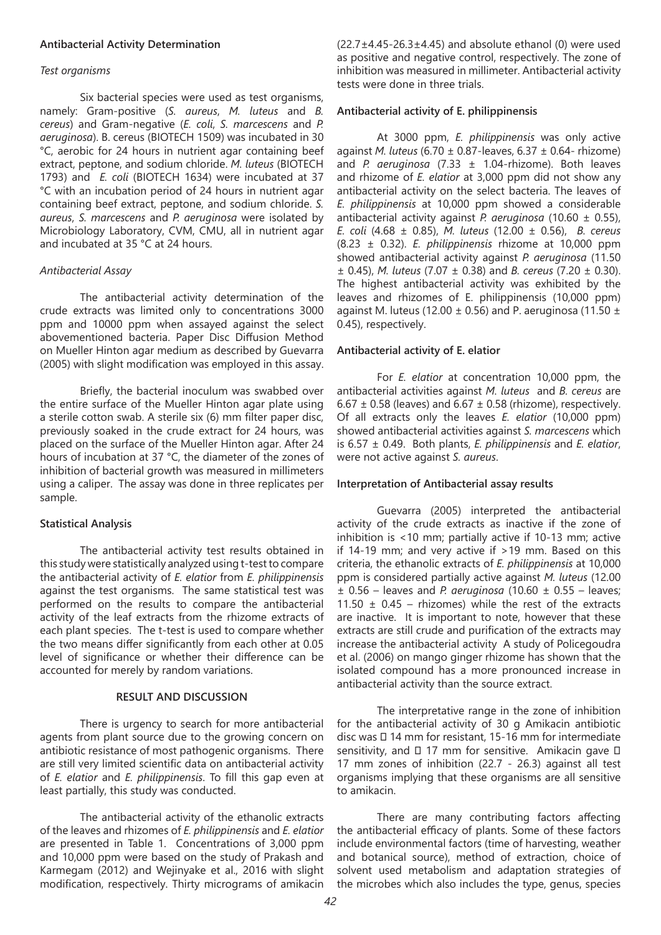#### **Antibacterial Activity Determination**

#### *Test organisms*

Six bacterial species were used as test organisms, namely: Gram-positive (*S. aureus*, *M. luteus* and *B. cereus*) and Gram-negative (*E. coli*, *S. marcescens* and *P. aeruginosa*). B. cereus (BIOTECH 1509) was incubated in 30 °C, aerobic for 24 hours in nutrient agar containing beef extract, peptone, and sodium chloride. *M. luteus* (BIOTECH 1793) and *E. coli* (BIOTECH 1634) were incubated at 37 °C with an incubation period of 24 hours in nutrient agar containing beef extract, peptone, and sodium chloride. *S. aureus*, *S. marcescens* and *P. aeruginosa* were isolated by Microbiology Laboratory, CVM, CMU, all in nutrient agar and incubated at 35 °C at 24 hours.

#### *Antibacterial Assay*

The antibacterial activity determination of the crude extracts was limited only to concentrations 3000 ppm and 10000 ppm when assayed against the select abovementioned bacteria. Paper Disc Diffusion Method on Mueller Hinton agar medium as described by Guevarra (2005) with slight modification was employed in this assay.

Briefly, the bacterial inoculum was swabbed over the entire surface of the Mueller Hinton agar plate using a sterile cotton swab. A sterile six (6) mm filter paper disc, previously soaked in the crude extract for 24 hours, was placed on the surface of the Mueller Hinton agar. After 24 hours of incubation at 37 °C, the diameter of the zones of inhibition of bacterial growth was measured in millimeters using a caliper. The assay was done in three replicates per sample.

# **Statistical Analysis**

The antibacterial activity test results obtained in this study were statistically analyzed using t-test to compare the antibacterial activity of *E. elatior* from *E. philippinensis* against the test organisms. The same statistical test was performed on the results to compare the antibacterial activity of the leaf extracts from the rhizome extracts of each plant species. The t-test is used to compare whether the two means differ significantly from each other at 0.05 level of significance or whether their difference can be accounted for merely by random variations.

#### **RESULT AND DISCUSSION**

There is urgency to search for more antibacterial agents from plant source due to the growing concern on antibiotic resistance of most pathogenic organisms. There are still very limited scientific data on antibacterial activity of *E. elatior* and *E. philippinensis*. To fill this gap even at least partially, this study was conducted.

The antibacterial activity of the ethanolic extracts of the leaves and rhizomes of *E. philippinensis* and *E. elatior* are presented in Table 1. Concentrations of 3,000 ppm and 10,000 ppm were based on the study of Prakash and Karmegam (2012) and Wejinyake et al., 2016 with slight modification, respectively. Thirty micrograms of amikacin  $(22.7\pm4.45-26.3\pm4.45)$  and absolute ethanol (0) were used as positive and negative control, respectively. The zone of inhibition was measured in millimeter. Antibacterial activity tests were done in three trials.

## **Antibacterial activity of E. philippinensis**

At 3000 ppm, *E. philippinensis* was only active against *M. luteus* (6.70 ± 0.87-leaves, 6.37 ± 0.64- rhizome) and *P. aeruginosa* (7.33 ± 1.04-rhizome). Both leaves and rhizome of *E. elatior* at 3,000 ppm did not show any antibacterial activity on the select bacteria. The leaves of *E. philippinensis* at 10,000 ppm showed a considerable antibacterial activity against *P. aeruginosa* (10.60 ± 0.55), *E. coli* (4.68 ± 0.85), *M. luteus* (12.00 ± 0.56), *B. cereus* (8.23 ± 0.32). *E. philippinensis* rhizome at 10,000 ppm showed antibacterial activity against *P. aeruginosa* (11.50 ± 0.45), *M. luteus* (7.07 ± 0.38) and *B. cereus* (7.20 ± 0.30). The highest antibacterial activity was exhibited by the leaves and rhizomes of E. philippinensis (10,000 ppm) against M. luteus (12.00  $\pm$  0.56) and P. aeruginosa (11.50  $\pm$ 0.45), respectively.

#### **Antibacterial activity of E. elatior**

For *E. elatior* at concentration 10,000 ppm, the antibacterial activities against *M. luteus* and *B. cereus* are 6.67  $\pm$  0.58 (leaves) and 6.67  $\pm$  0.58 (rhizome), respectively. Of all extracts only the leaves *E. elatior* (10,000 ppm) showed antibacterial activities against *S. marcescens* which is 6.57 ± 0.49. Both plants, *E. philippinensis* and *E. elatior*, were not active against *S. aureus*.

#### **Interpretation of Antibacterial assay results**

Guevarra (2005) interpreted the antibacterial activity of the crude extracts as inactive if the zone of inhibition is <10 mm; partially active if 10-13 mm; active if 14-19 mm; and very active if >19 mm. Based on this criteria, the ethanolic extracts of *E. philippinensis* at 10,000 ppm is considered partially active against *M. luteus* (12.00  $\pm$  0.56 – leaves and *P. aeruginosa* (10.60  $\pm$  0.55 – leaves; 11.50  $\pm$  0.45 – rhizomes) while the rest of the extracts are inactive. It is important to note, however that these extracts are still crude and purification of the extracts may increase the antibacterial activity A study of Policegoudra et al. (2006) on mango ginger rhizome has shown that the isolated compound has a more pronounced increase in antibacterial activity than the source extract.

The interpretative range in the zone of inhibition for the antibacterial activity of 30 g Amikacin antibiotic disc was  $\Box$  14 mm for resistant, 15-16 mm for intermediate sensitivity, and  $\Box$  17 mm for sensitive. Amikacin gave  $\Box$ 17 mm zones of inhibition (22.7 - 26.3) against all test organisms implying that these organisms are all sensitive to amikacin.

There are many contributing factors affecting the antibacterial efficacy of plants. Some of these factors include environmental factors (time of harvesting, weather and botanical source), method of extraction, choice of solvent used metabolism and adaptation strategies of the microbes which also includes the type, genus, species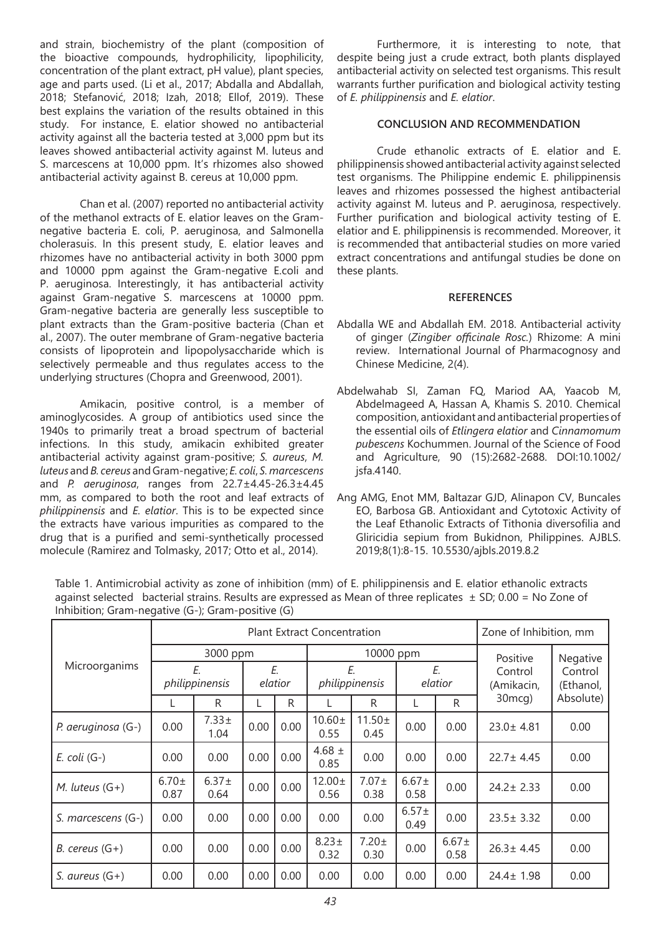and strain, biochemistry of the plant (composition of the bioactive compounds, hydrophilicity, lipophilicity, concentration of the plant extract, pH value), plant species, age and parts used. (Li et al., 2017; Abdalla and Abdallah, 2018; Stefanović, 2018; Izah, 2018; Ellof, 2019). These best explains the variation of the results obtained in this study. For instance, E. elatior showed no antibacterial activity against all the bacteria tested at 3,000 ppm but its leaves showed antibacterial activity against M. luteus and S. marcescens at 10,000 ppm. It's rhizomes also showed antibacterial activity against B. cereus at 10,000 ppm.

Chan et al. (2007) reported no antibacterial activity of the methanol extracts of E. elatior leaves on the Gramnegative bacteria E. coli, P. aeruginosa, and Salmonella cholerasuis. In this present study, E. elatior leaves and rhizomes have no antibacterial activity in both 3000 ppm and 10000 ppm against the Gram-negative E.coli and P. aeruginosa. Interestingly, it has antibacterial activity against Gram-negative S. marcescens at 10000 ppm. Gram-negative bacteria are generally less susceptible to plant extracts than the Gram-positive bacteria (Chan et al., 2007). The outer membrane of Gram-negative bacteria consists of lipoprotein and lipopolysaccharide which is selectively permeable and thus regulates access to the underlying structures (Chopra and Greenwood, 2001).

Amikacin, positive control, is a member of aminoglycosides. A group of antibiotics used since the 1940s to primarily treat a broad spectrum of bacterial infections. In this study, amikacin exhibited greater antibacterial activity against gram-positive; *S. aureus*, *M. luteus* and *B. cereus* and Gram-negative; *E. coli*, *S. marcescens* and *P. aeruginosa*, ranges from 22.7±4.45-26.3±4.45 mm, as compared to both the root and leaf extracts of *philippinensis* and *E. elatior*. This is to be expected since the extracts have various impurities as compared to the drug that is a purified and semi-synthetically processed molecule (Ramirez and Tolmasky, 2017; Otto et al., 2014).

Furthermore, it is interesting to note, that despite being just a crude extract, both plants displayed antibacterial activity on selected test organisms. This result warrants further purification and biological activity testing of *E. philippinensis* and *E. elatior*.

### **CONCLUSION AND RECOMMENDATION**

Crude ethanolic extracts of E. elatior and E. philippinensis showed antibacterial activity against selected test organisms. The Philippine endemic E. philippinensis leaves and rhizomes possessed the highest antibacterial activity against M. luteus and P. aeruginosa, respectively. Further purification and biological activity testing of E. elatior and E. philippinensis is recommended. Moreover, it is recommended that antibacterial studies on more varied extract concentrations and antifungal studies be done on these plants.

#### **REFERENCES**

- Abdalla WE and Abdallah EM. 2018. Antibacterial activity of ginger (*Zingiber officinale Rosc.*) Rhizome: A mini review. International Journal of Pharmacognosy and Chinese Medicine, 2(4).
- Abdelwahab SI, Zaman FQ, Mariod AA, Yaacob M, Abdelmageed A, Hassan A, Khamis S. 2010. Chemical composition, antioxidant and antibacterial properties of the essential oils of *Etlingera elatior* and *Cinnamomum pubescens* Kochummen. Journal of the Science of Food and Agriculture, 90 (15):2682-2688. DOI:10.1002/ jsfa.4140.
- Ang AMG, Enot MM, Baltazar GJD, Alinapon CV, Buncales EO, Barbosa GB. Antioxidant and Cytotoxic Activity of the Leaf Ethanolic Extracts of Tithonia diversofilia and Gliricidia sepium from Bukidnon, Philippines. AJBLS. 2019;8(1):8-15. 10.5530/ajbls.2019.8.2

| Microorganims      | <b>Plant Extract Concentration</b> |                    |               |      |                      |                     |                    |                    | Zone of Inhibition, mm |                      |
|--------------------|------------------------------------|--------------------|---------------|------|----------------------|---------------------|--------------------|--------------------|------------------------|----------------------|
|                    | 3000 ppm                           |                    |               |      | 10000 ppm            |                     |                    |                    | Positive               | Negative             |
|                    | E.<br>philippinensis               |                    | E.<br>elatior |      | Ε.<br>philippinensis |                     | Ε.<br>elatior      |                    | Control<br>(Amikacin,  | Control<br>(Ethanol, |
|                    |                                    | R                  |               | R.   |                      | R                   |                    | R                  | 30 <sub>mcg</sub> )    | Absolute)            |
| P. aeruginosa (G-) | 0.00                               | $7.33 \pm$<br>1.04 | 0.00          | 0.00 | $10.60 \pm$<br>0.55  | $11.50 \pm$<br>0.45 | 0.00               | 0.00               | $23.0 \pm 4.81$        | 0.00                 |
| $E.$ coli $(G-)$   | 0.00                               | 0.00               | 0.00          | 0.00 | 4.68 $\pm$<br>0.85   | 0.00                | 0.00               | 0.00               | $22.7 \pm 4.45$        | 0.00                 |
| M. luteus $(G+)$   | $6.70 \pm$<br>0.87                 | $6.37 \pm$<br>0.64 | 0.00          | 0.00 | $12.00 \pm$<br>0.56  | $7.07 \pm$<br>0.38  | $6.67 \pm$<br>0.58 | 0.00               | $24.2 \pm 2.33$        | 0.00                 |
| S. marcescens (G-) | 0.00                               | 0.00               | 0.00          | 0.00 | 0.00                 | 0.00                | $6.57 \pm$<br>0.49 | 0.00               | $23.5 \pm 3.32$        | 0.00                 |
| B. cereus $(G+)$   | 0.00                               | 0.00               | 0.00          | 0.00 | $8.23 \pm$<br>0.32   | $7.20 \pm$<br>0.30  | 0.00               | $6.67 \pm$<br>0.58 | $26.3 \pm 4.45$        | 0.00                 |
| S. aureus $(G+)$   | 0.00                               | 0.00               | 0.00          | 0.00 | 0.00                 | 0.00                | 0.00               | 0.00               | $24.4 \pm 1.98$        | 0.00                 |

Table 1. Antimicrobial activity as zone of inhibition (mm) of E. philippinensis and E. elatior ethanolic extracts against selected bacterial strains. Results are expressed as Mean of three replicates  $\pm$  SD; 0.00 = No Zone of Inhibition; Gram-negative (G-); Gram-positive (G)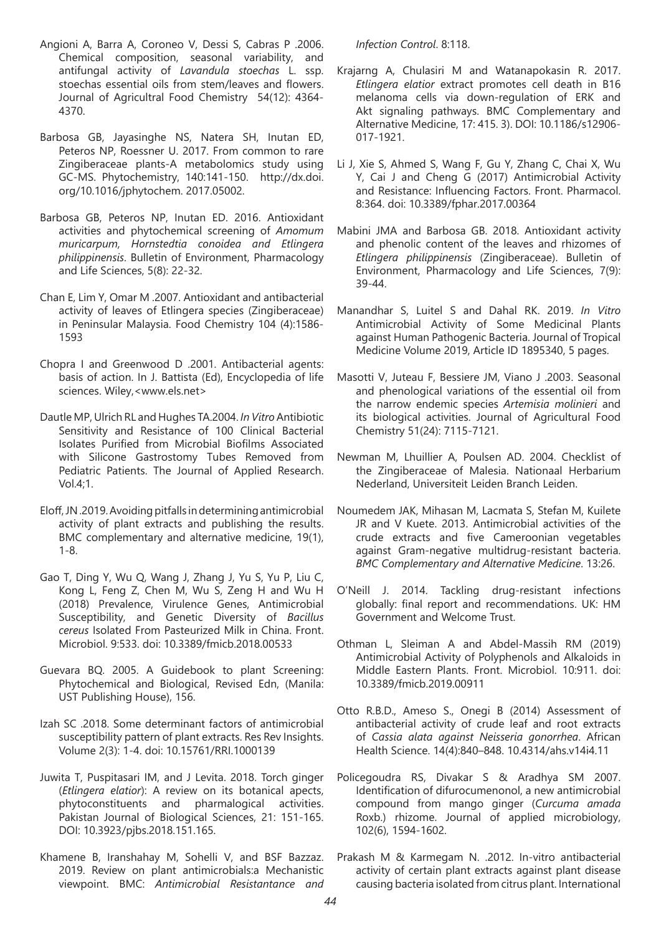- Angioni A, Barra A, Coroneo V, Dessi S, Cabras P .2006. Chemical composition, seasonal variability, and antifungal activity of *Lavandula stoechas* L. ssp. stoechas essential oils from stem/leaves and flowers. Journal of Agricultral Food Chemistry 54(12): 4364- 4370.
- Barbosa GB, Jayasinghe NS, Natera SH, Inutan ED, Peteros NP, Roessner U. 2017. From common to rare Zingiberaceae plants-A metabolomics study using GC-MS. Phytochemistry, 140:141-150. http://dx.doi. org/10.1016/jphytochem. 2017.05002.
- Barbosa GB, Peteros NP, Inutan ED. 2016. Antioxidant activities and phytochemical screening of *Amomum muricarpum, Hornstedtia conoidea and Etlingera philippinensis*. Bulletin of Environment, Pharmacology and Life Sciences, 5(8): 22-32.
- Chan E, Lim Y, Omar M .2007. Antioxidant and antibacterial activity of leaves of Etlingera species (Zingiberaceae) in Peninsular Malaysia. Food Chemistry 104 (4):1586- 1593
- Chopra I and Greenwood D .2001. Antibacterial agents: basis of action. In J. Battista (Ed), Encyclopedia of life sciences. Wiley,<www.els.net>
- Dautle MP, Ulrich RL and Hughes TA.2004. *In Vitro* Antibiotic Sensitivity and Resistance of 100 Clinical Bacterial Isolates Purified from Microbial Biofilms Associated with Silicone Gastrostomy Tubes Removed from Pediatric Patients. The Journal of Applied Research. Vol.4;1.
- Eloff, JN .2019. Avoiding pitfalls in determining antimicrobial activity of plant extracts and publishing the results. BMC complementary and alternative medicine, 19(1), 1-8.
- Gao T, Ding Y, Wu Q, Wang J, Zhang J, Yu S, Yu P, Liu C, Kong L, Feng Z, Chen M, Wu S, Zeng H and Wu H (2018) Prevalence, Virulence Genes, Antimicrobial Susceptibility, and Genetic Diversity of *Bacillus cereus* Isolated From Pasteurized Milk in China. Front. Microbiol. 9:533. doi: 10.3389/fmicb.2018.00533
- Guevara BQ. 2005. A Guidebook to plant Screening: Phytochemical and Biological, Revised Edn, (Manila: UST Publishing House), 156.
- Izah SC .2018. Some determinant factors of antimicrobial susceptibility pattern of plant extracts. Res Rev Insights. Volume 2(3): 1-4. doi: 10.15761/RRI.1000139
- Juwita T, Puspitasari IM, and J Levita. 2018. Torch ginger (*Etlingera elatior*): A review on its botanical apects, phytoconstituents and pharmalogical activities. Pakistan Journal of Biological Sciences, 21: 151-165. DOI: 10.3923/pjbs.2018.151.165.
- Khamene B, Iranshahay M, Sohelli V, and BSF Bazzaz. 2019. Review on plant antimicrobials:a Mechanistic viewpoint. BMC: *Antimicrobial Resistantance and*

*Infection Control*. 8:118.

- Krajarng A, Chulasiri M and Watanapokasin R. 2017. *Etlingera elatior* extract promotes cell death in B16 melanoma cells via down-regulation of ERK and Akt signaling pathways. BMC Complementary and Alternative Medicine, 17: 415. 3). DOI: 10.1186/s12906- 017-1921.
- Li J, Xie S, Ahmed S, Wang F, Gu Y, Zhang C, Chai X, Wu Y, Cai J and Cheng G (2017) Antimicrobial Activity and Resistance: Influencing Factors. Front. Pharmacol. 8:364. doi: 10.3389/fphar.2017.00364
- Mabini JMA and Barbosa GB. 2018. Antioxidant activity and phenolic content of the leaves and rhizomes of *Etlingera philippinensis* (Zingiberaceae). Bulletin of Environment, Pharmacology and Life Sciences, 7(9): 39-44.
- Manandhar S, Luitel S and Dahal RK. 2019. *In Vitro* Antimicrobial Activity of Some Medicinal Plants against Human Pathogenic Bacteria. Journal of Tropical Medicine Volume 2019, Article ID 1895340, 5 pages.
- Masotti V, Juteau F, Bessiere JM, Viano J .2003. Seasonal and phenological variations of the essential oil from the narrow endemic species *Artemisia molinieri* and its biological activities. Journal of Agricultural Food Chemistry 51(24): 7115-7121.
- Newman M, Lhuillier A, Poulsen AD. 2004. Checklist of the Zingiberaceae of Malesia. Nationaal Herbarium Nederland, Universiteit Leiden Branch Leiden.
- Noumedem JAK, Mihasan M, Lacmata S, Stefan M, Kuilete JR and V Kuete. 2013. Antimicrobial activities of the crude extracts and five Cameroonian vegetables against Gram-negative multidrug-resistant bacteria. *BMC Complementary and Alternative Medicine*. 13:26.
- O'Neill J. 2014. Tackling drug-resistant infections globally: final report and recommendations. UK: HM Government and Welcome Trust.
- Othman L, Sleiman A and Abdel-Massih RM (2019) Antimicrobial Activity of Polyphenols and Alkaloids in Middle Eastern Plants. Front. Microbiol. 10:911. doi: 10.3389/fmicb.2019.00911
- Otto R.B.D., Ameso S., Onegi B (2014) Assessment of antibacterial activity of crude leaf and root extracts of *Cassia alata against Neisseria gonorrhea*. African Health Science. 14(4):840–848. 10.4314/ahs.v14i4.11
- Policegoudra RS, Divakar S & Aradhya SM 2007. Identification of difurocumenonol, a new antimicrobial compound from mango ginger (*Curcuma amada*  Roxb.) rhizome. Journal of applied microbiology, 102(6), 1594-1602.
- Prakash M & Karmegam N. .2012. In-vitro antibacterial activity of certain plant extracts against plant disease causing bacteria isolated from citrus plant. International